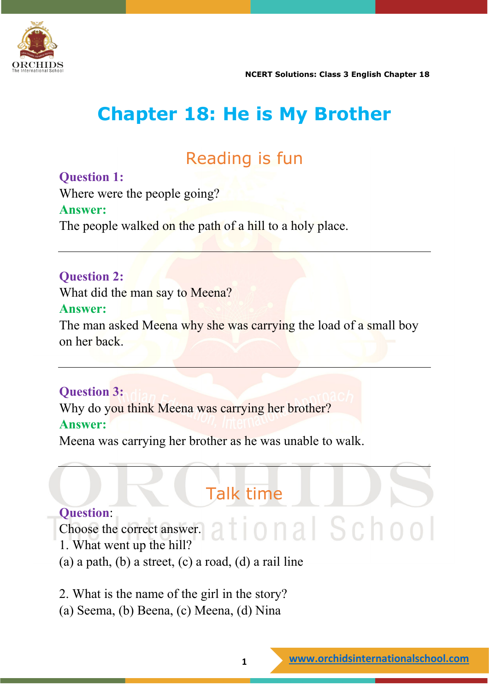

# **Chapter 18: He is My Brother**

# Reading is fun

### **Question 1:**

Where were the people going?

#### **Answer:**

The people walked on the path of a hill to a holy place.

#### **Question 2:**

What did the man say to Meena?

#### **Answer:**

The man asked Meena why she was carrying the load of a small boy on her back.

#### **Question 3:**

Why do you think Meena was carrying her brother? **Answer:**

Meena was carrying her brother as he was unable to walk.

# Talk time

#### **Question**:

Choose the correct answer. at ional School 1. What went up the hill?

(a) a path, (b) a street, (c) a road, (d) a rail line

2. What is the name of the girl in the story?

(a) Seema, (b) Beena, (c) Meena, (d) Nina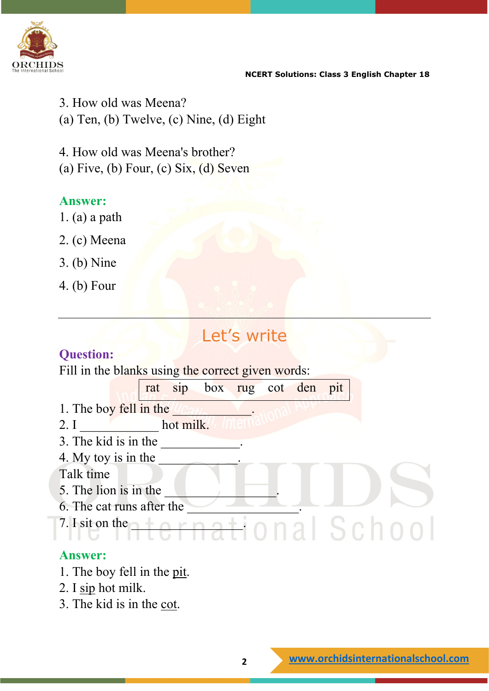

3. How old was Meena? (a) Ten, (b) Twelve, (c) Nine, (d) Eight

4. How old was Meena's brother? (a) Five, (b) Four, (c) Six,  $(d)$  Seven

#### **Answer:**

- 1. (a) a path
- 2. (c) Meena
- 3. (b) Nine
- 4. (b) Four

## Let's write

#### **Question:**

Fill in the blanks using the correct given words:



#### **Answer:**

- 1. The boy fell in the pit.
- 2. I sip hot milk.
- 3. The kid is in the cot.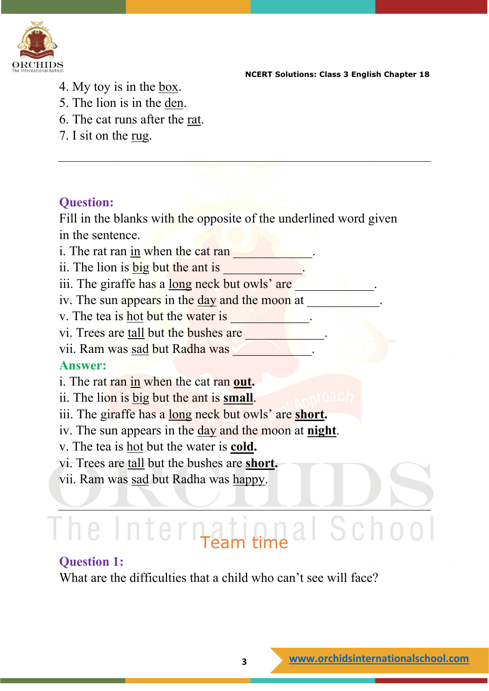

- 4. My toy is in the box.
- 5. The lion is in the den.
- 6. The cat runs after the rat.
- 7. I sit on the rug.

#### **Question:**

Fill in the blanks with the opposite of the underlined word given in the sentence.

i. The rat ran in when the cat ran  $\blacksquare$ 

ii. The lion is **big** but the ant is \_\_\_\_\_\_\_\_\_\_\_\_.

iii. The giraffe has a long neck but owls' are

iv. The sun appears in the <u>day</u> and the moon at

v. The tea is <u>hot</u> but the water is \_\_\_\_\_\_\_\_\_\_.

vi. Trees are tall but the bushes are

vii. Ram was sad but Radha was

#### **Answer:**

i. The rat ran in when the cat ran **out.**

ii. The lion is big but the ant is **small**.

iii. The giraffe has a long neck but owls' are **short.**

iv. The sun appears in the day and the moon at **night**.

v. The tea is hot but the water is **cold.**

vi. Trees are tall but the bushes are **short.**

vii. Ram was sad but Radha was happy.

# The International School

#### **Question 1:**

What are the difficulties that a child who can't see will face?